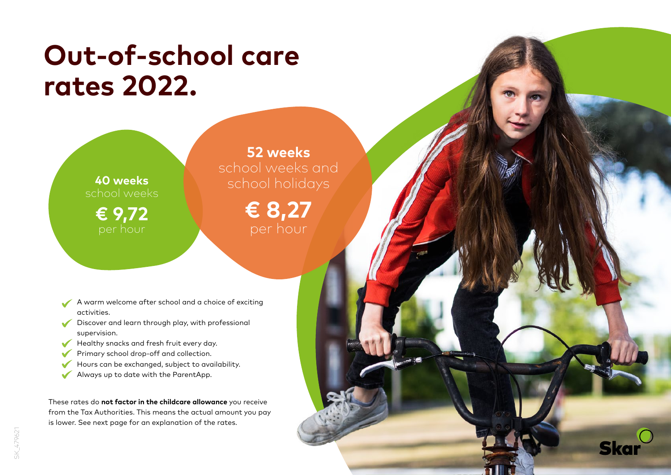## **Out-of-school care rates 2022.**

**40 weeks** school weeks **€ 9,72**

**52 weeks** school weeks and school holidays

> **€ 8,27** per hour

> > **Skar**

- A warm welcome after school and a choice of exciting  $\checkmark$ activities.
- Discover and learn through play, with professional supervision.
- Healthy snacks and fresh fruit every day.
- Primary school drop-off and collection.  $\checkmark$
- Hours can be exchanged, subject to availability.
- $\checkmark$ Always up to date with the ParentApp.

These rates do **not factor in the childcare allowance** you receive from the Tax Authorities. This means the actual amount you pay is lower. See next page for an explanation of the rates.